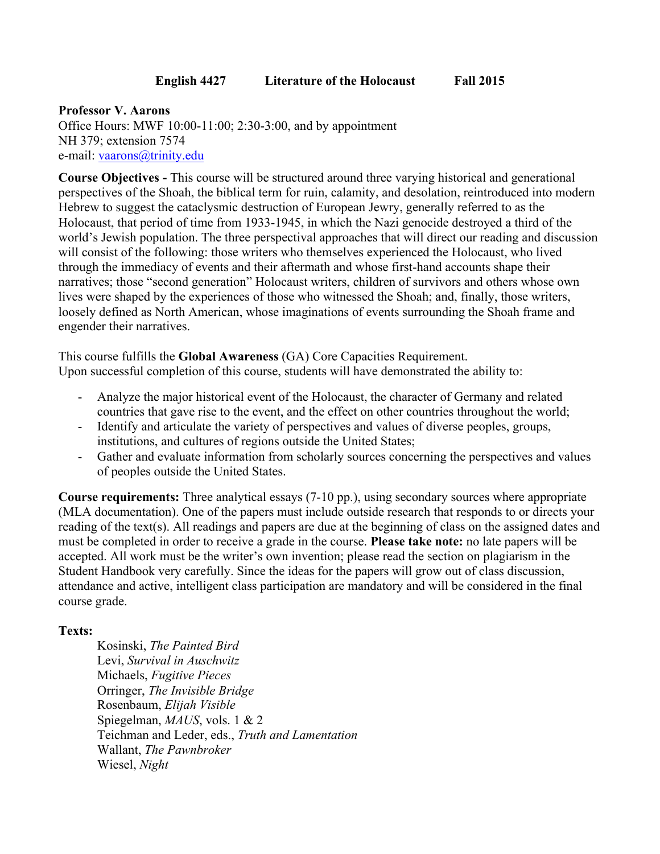## **English 4427 Literature of the Holocaust Fall 2015**

**Professor V. Aarons** Office Hours: MWF 10:00-11:00; 2:30-3:00, and by appointment NH 379; extension 7574 e-mail: vaarons@trinity.edu

**Course Objectives -** This course will be structured around three varying historical and generational perspectives of the Shoah, the biblical term for ruin, calamity, and desolation, reintroduced into modern Hebrew to suggest the cataclysmic destruction of European Jewry, generally referred to as the Holocaust, that period of time from 1933-1945, in which the Nazi genocide destroyed a third of the world's Jewish population. The three perspectival approaches that will direct our reading and discussion will consist of the following: those writers who themselves experienced the Holocaust, who lived through the immediacy of events and their aftermath and whose first-hand accounts shape their narratives; those "second generation" Holocaust writers, children of survivors and others whose own lives were shaped by the experiences of those who witnessed the Shoah; and, finally, those writers, loosely defined as North American, whose imaginations of events surrounding the Shoah frame and engender their narratives.

This course fulfills the **Global Awareness** (GA) Core Capacities Requirement. Upon successful completion of this course, students will have demonstrated the ability to:

- Analyze the major historical event of the Holocaust, the character of Germany and related countries that gave rise to the event, and the effect on other countries throughout the world;
- Identify and articulate the variety of perspectives and values of diverse peoples, groups, institutions, and cultures of regions outside the United States;
- Gather and evaluate information from scholarly sources concerning the perspectives and values of peoples outside the United States.

**Course requirements:** Three analytical essays (7-10 pp.), using secondary sources where appropriate (MLA documentation). One of the papers must include outside research that responds to or directs your reading of the text(s). All readings and papers are due at the beginning of class on the assigned dates and must be completed in order to receive a grade in the course. **Please take note:** no late papers will be accepted. All work must be the writer's own invention; please read the section on plagiarism in the Student Handbook very carefully. Since the ideas for the papers will grow out of class discussion, attendance and active, intelligent class participation are mandatory and will be considered in the final course grade.

## **Texts:**

Kosinski, *The Painted Bird* Levi, *Survival in Auschwitz* Michaels, *Fugitive Pieces* Orringer, *The Invisible Bridge* Rosenbaum, *Elijah Visible* Spiegelman, *MAUS*, vols. 1 & 2 Teichman and Leder, eds., *Truth and Lamentation* Wallant, *The Pawnbroker* Wiesel, *Night*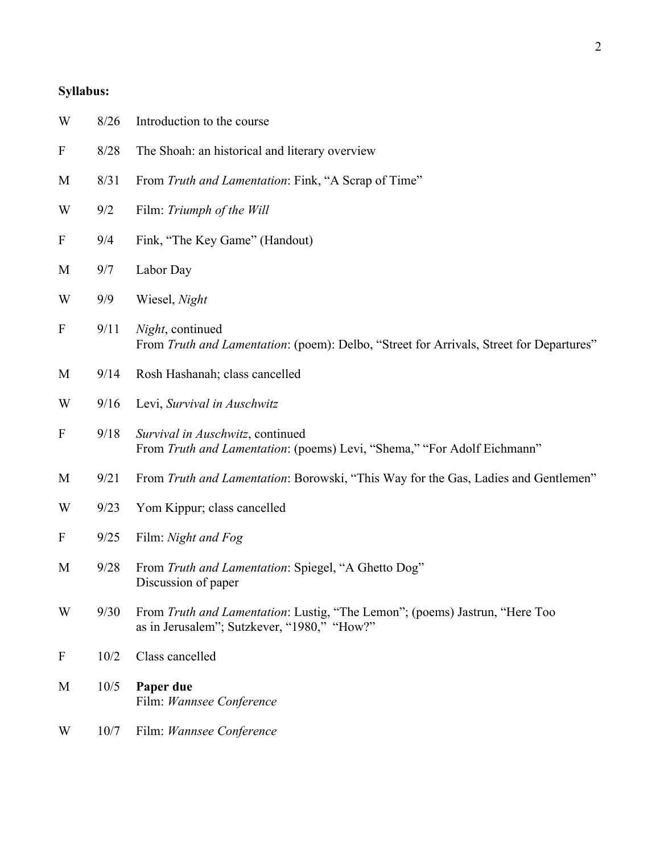## **Syllabus:**

| W                | 8/26 | Introduction to the course                                                                                                 |
|------------------|------|----------------------------------------------------------------------------------------------------------------------------|
| $\mathbf{F}$     | 8/28 | The Shoah: an historical and literary overview                                                                             |
| M                | 8/31 | From Truth and Lamentation: Fink, "A Scrap of Time"                                                                        |
| W                | 9/2  | Film: Triumph of the Will                                                                                                  |
| $\boldsymbol{F}$ | 9/4  | Fink, "The Key Game" (Handout)                                                                                             |
| M                | 9/7  | Labor Day                                                                                                                  |
| W                | 9/9  | Wiesel, Night                                                                                                              |
| $\boldsymbol{F}$ | 9/11 | Night, continued<br>From Truth and Lamentation: (poem): Delbo, "Street for Arrivals, Street for Departures"                |
| M                | 9/14 | Rosh Hashanah; class cancelled                                                                                             |
| W                | 9/16 | Levi, Survival in Auschwitz                                                                                                |
| $\boldsymbol{F}$ | 9/18 | Survival in Auschwitz, continued<br>From Truth and Lamentation: (poems) Levi, "Shema," "For Adolf Eichmann"                |
| M                | 9/21 | From Truth and Lamentation: Borowski, "This Way for the Gas, Ladies and Gentlemen"                                         |
| W                | 9/23 | Yom Kippur; class cancelled                                                                                                |
| $\boldsymbol{F}$ | 9/25 | Film: Night and Fog                                                                                                        |
| M                | 9/28 | From Truth and Lamentation: Spiegel, "A Ghetto Dog"<br>Discussion of paper                                                 |
| W                | 9/30 | From Truth and Lamentation: Lustig, "The Lemon"; (poems) Jastrun, "Here Too<br>as in Jerusalem"; Sutzkever, "1980," "How?" |
| $\boldsymbol{F}$ | 10/2 | Class cancelled                                                                                                            |
| M                | 10/5 | Paper due<br>Film: Wannsee Conference                                                                                      |
| W                | 10/7 | Film: Wannsee Conference                                                                                                   |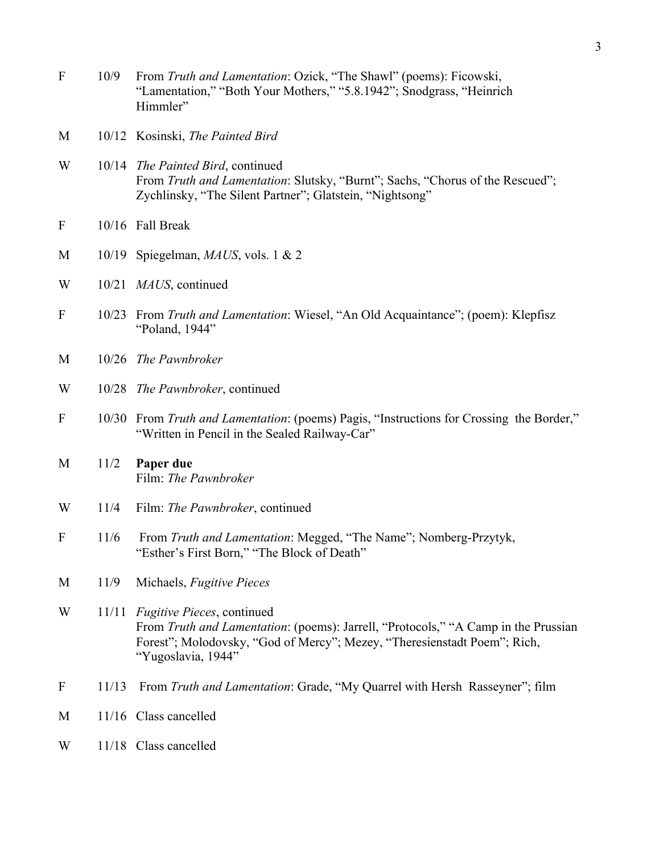- F 10/9 From *Truth and Lamentation*: Ozick, "The Shawl" (poems): Ficowski, "Lamentation," "Both Your Mothers," "5.8.1942"; Snodgrass, "Heinrich Himmler"
- M 10/12 Kosinski, *The Painted Bird*
- W 10/14 *The Painted Bird*, continued From *Truth and Lamentation*: Slutsky, "Burnt"; Sachs, "Chorus of the Rescued"; Zychlinsky, "The Silent Partner"; Glatstein, "Nightsong"
- F 10/16 Fall Break
- M 10/19 Spiegelman, *MAUS*, vols. 1 & 2
- W 10/21 *MAUS*, continued
- F 10/23 From *Truth and Lamentation*: Wiesel, "An Old Acquaintance"; (poem): Klepfisz "Poland, 1944"
- M 10/26 *The Pawnbroker*
- W 10/28 *The Pawnbroker*, continued
- F 10/30 From *Truth and Lamentation*: (poems) Pagis, "Instructions for Crossing the Border," "Written in Pencil in the Sealed Railway-Car"
- M 11/2 **Paper due** Film: *The Pawnbroker*
- W 11/4 Film: *The Pawnbroker*, continued
- F 11/6 From *Truth and Lamentation*: Megged, "The Name"; Nomberg-Przytyk, "Esther's First Born," "The Block of Death"
- M 11/9 Michaels, *Fugitive Pieces*
- W 11/11 *Fugitive Pieces*, continued From *Truth and Lamentation*: (poems): Jarrell, "Protocols," "A Camp in the Prussian Forest"; Molodovsky, "God of Mercy"; Mezey, "Theresienstadt Poem"; Rich, "Yugoslavia, 1944"
- F 11/13 From *Truth and Lamentation*: Grade, "My Quarrel with Hersh Rasseyner"; film
- M 11/16 Class cancelled
- W 11/18 Class cancelled